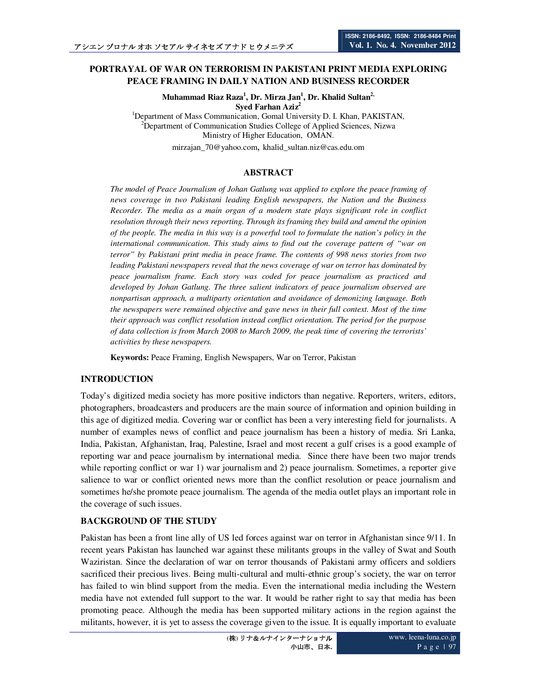## **PORTRAYAL OF WAR ON TERRORISM IN PAKISTANI PRINT MEDIA EXPLORING PEACE FRAMING IN DAILY NATION AND BUSINESS RECORDER**

**Muhammad Riaz Raza<sup>1</sup> , Dr. Mirza Jan<sup>1</sup> , Dr. Khalid Sultan2, Syed Farhan Aziz<sup>2</sup>**

<sup>1</sup>Department of Mass Communication, Gomal University D. I. Khan, PAKISTAN, <sup>2</sup>Department of Communication Studies College of Applied Sciences, Nizwa Ministry of Higher Education, OMAN. mirzajan\_70@yahoo.com, khalid\_sultan.niz@cas.edu.om

### **ABSTRACT**

*The model of Peace Journalism of Johan Gatlung was applied to explore the peace framing of news coverage in two Pakistani leading English newspapers, the Nation and the Business Recorder. The media as a main organ of a modern state plays significant role in conflict resolution through their news reporting. Through its framing they build and amend the opinion of the people. The media in this way is a powerful tool to formulate the nation's policy in the international communication. This study aims to find out the coverage pattern of "war on terror" by Pakistani print media in peace frame. The contents of 998 news stories from two leading Pakistani newspapers reveal that the news coverage of war on terror has dominated by peace journalism frame. Each story was coded for peace journalism as practiced and developed by Johan Gatlung. The three salient indicators of peace journalism observed are nonpartisan approach, a multiparty orientation and avoidance of demonizing language. Both the newspapers were remained objective and gave news in their full context. Most of the time their approach was conflict resolution instead conflict orientation. The period for the purpose of data collection is from March 2008 to March 2009, the peak time of covering the terrorists' activities by these newspapers.* 

**Keywords:** Peace Framing, English Newspapers, War on Terror, Pakistan

### **INTRODUCTION**

Today's digitized media society has more positive indictors than negative. Reporters, writers, editors, photographers, broadcasters and producers are the main source of information and opinion building in this age of digitized media. Covering war or conflict has been a very interesting field for journalists. A number of examples news of conflict and peace journalism has been a history of media. Sri Lanka, India, Pakistan, Afghanistan, Iraq, Palestine, Israel and most recent a gulf crises is a good example of reporting war and peace journalism by international media. Since there have been two major trends while reporting conflict or war 1) war journalism and 2) peace journalism. Sometimes, a reporter give salience to war or conflict oriented news more than the conflict resolution or peace journalism and sometimes he/she promote peace journalism. The agenda of the media outlet plays an important role in the coverage of such issues.

### **BACKGROUND OF THE STUDY**

Pakistan has been a front line ally of US led forces against war on terror in Afghanistan since 9/11. In recent years Pakistan has launched war against these militants groups in the valley of Swat and South Waziristan. Since the declaration of war on terror thousands of Pakistani army officers and soldiers sacrificed their precious lives. Being multi-cultural and multi-ethnic group's society, the war on terror has failed to win blind support from the media. Even the international media including the Western media have not extended full support to the war. It would be rather right to say that media has been promoting peace. Although the media has been supported military actions in the region against the militants, however, it is yet to assess the coverage given to the issue. It is equally important to evaluate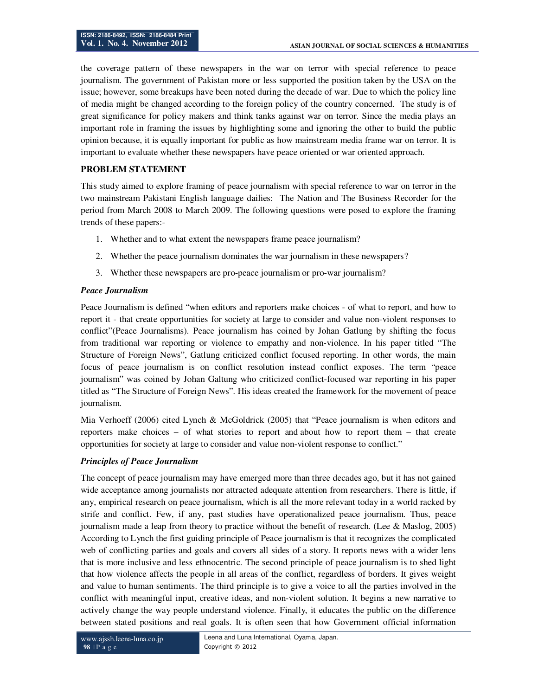the coverage pattern of these newspapers in the war on terror with special reference to peace journalism. The government of Pakistan more or less supported the position taken by the USA on the issue; however, some breakups have been noted during the decade of war. Due to which the policy line of media might be changed according to the foreign policy of the country concerned. The study is of great significance for policy makers and think tanks against war on terror. Since the media plays an important role in framing the issues by highlighting some and ignoring the other to build the public opinion because, it is equally important for public as how mainstream media frame war on terror. It is important to evaluate whether these newspapers have peace oriented or war oriented approach.

### **PROBLEM STATEMENT**

This study aimed to explore framing of peace journalism with special reference to war on terror in the two mainstream Pakistani English language dailies: The Nation and The Business Recorder for the period from March 2008 to March 2009. The following questions were posed to explore the framing trends of these papers:-

- 1. Whether and to what extent the newspapers frame peace journalism?
- 2. Whether the peace journalism dominates the war journalism in these newspapers?
- 3. Whether these newspapers are pro-peace journalism or pro-war journalism?

### *Peace Journalism*

Peace Journalism is defined "when editors and reporters make choices - of what to report, and how to report it - that create opportunities for society at large to consider and value non-violent responses to conflict"(Peace Journalisms). Peace journalism has coined by Johan Gatlung by shifting the focus from traditional war reporting or violence to empathy and non-violence. In his paper titled "The Structure of Foreign News", Gatlung criticized conflict focused reporting. In other words, the main focus of peace journalism is on conflict resolution instead conflict exposes. The term "peace journalism" was coined by Johan Galtung who criticized conflict-focused war reporting in his paper titled as "The Structure of Foreign News". His ideas created the framework for the movement of peace journalism.

Mia Verhoeff (2006) cited Lynch & McGoldrick (2005) that "Peace journalism is when editors and reporters make choices – of what stories to report and about how to report them – that create opportunities for society at large to consider and value non-violent response to conflict."

## *Principles of Peace Journalism*

The concept of peace journalism may have emerged more than three decades ago, but it has not gained wide acceptance among journalists nor attracted adequate attention from researchers. There is little, if any, empirical research on peace journalism, which is all the more relevant today in a world racked by strife and conflict. Few, if any, past studies have operationalized peace journalism. Thus, peace journalism made a leap from theory to practice without the benefit of research. (Lee & Maslog, 2005) According to Lynch the first guiding principle of Peace journalism is that it recognizes the complicated web of conflicting parties and goals and covers all sides of a story. It reports news with a wider lens that is more inclusive and less ethnocentric. The second principle of peace journalism is to shed light that how violence affects the people in all areas of the conflict, regardless of borders. It gives weight and value to human sentiments. The third principle is to give a voice to all the parties involved in the conflict with meaningful input, creative ideas, and non-violent solution. It begins a new narrative to actively change the way people understand violence. Finally, it educates the public on the difference between stated positions and real goals. It is often seen that how Government official information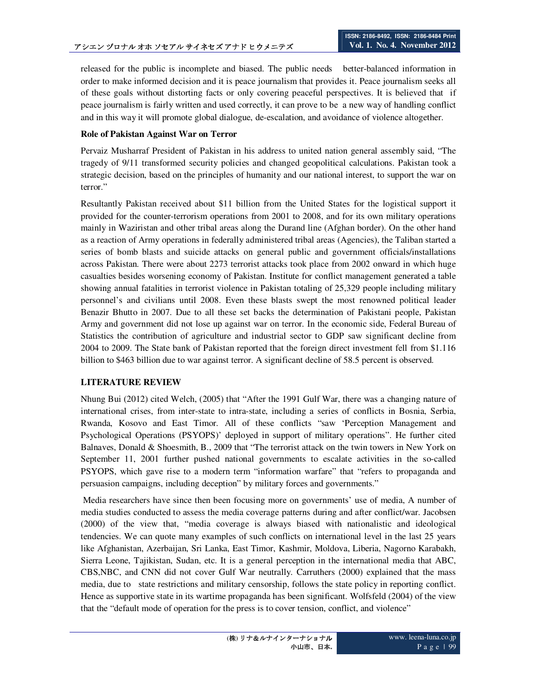released for the public is incomplete and biased. The public needs better-balanced information in order to make informed decision and it is peace journalism that provides it. Peace journalism seeks all of these goals without distorting facts or only covering peaceful perspectives. It is believed that if peace journalism is fairly written and used correctly, it can prove to be a new way of handling conflict and in this way it will promote global dialogue, de-escalation, and avoidance of violence altogether.

## **Role of Pakistan Against War on Terror**

Pervaiz Musharraf President of Pakistan in his address to united nation general assembly said, "The tragedy of 9/11 transformed security policies and changed geopolitical calculations. Pakistan took a strategic decision, based on the principles of humanity and our national interest, to support the war on terror."

Resultantly Pakistan received about \$11 billion from the United States for the logistical support it provided for the counter-terrorism operations from 2001 to 2008, and for its own military operations mainly in Waziristan and other tribal areas along the Durand line (Afghan border). On the other hand as a reaction of Army operations in federally administered tribal areas (Agencies), the Taliban started a series of bomb blasts and suicide attacks on general public and government officials/installations across Pakistan. There were about 2273 terrorist attacks took place from 2002 onward in which huge casualties besides worsening economy of Pakistan. Institute for conflict management generated a table showing annual fatalities in terrorist violence in Pakistan totaling of 25,329 people including military personnel's and civilians until 2008. Even these blasts swept the most renowned political leader Benazir Bhutto in 2007. Due to all these set backs the determination of Pakistani people, Pakistan Army and government did not lose up against war on terror. In the economic side, Federal Bureau of Statistics the contribution of agriculture and industrial sector to GDP saw significant decline from 2004 to 2009. The State bank of Pakistan reported that the foreign direct investment fell from \$1.116 billion to \$463 billion due to war against terror. A significant decline of 58.5 percent is observed.

## **LITERATURE REVIEW**

Nhung Bui (2012) cited Welch, (2005) that "After the 1991 Gulf War, there was a changing nature of international crises, from inter-state to intra-state, including a series of conflicts in Bosnia, Serbia, Rwanda, Kosovo and East Timor. All of these conflicts "saw 'Perception Management and Psychological Operations (PSYOPS)' deployed in support of military operations". He further cited Balnaves, Donald & Shoesmith, B., 2009 that "The terrorist attack on the twin towers in New York on September 11, 2001 further pushed national governments to escalate activities in the so-called PSYOPS, which gave rise to a modern term "information warfare" that "refers to propaganda and persuasion campaigns, including deception" by military forces and governments."

 Media researchers have since then been focusing more on governments' use of media, A number of media studies conducted to assess the media coverage patterns during and after conflict/war. Jacobsen (2000) of the view that, "media coverage is always biased with nationalistic and ideological tendencies. We can quote many examples of such conflicts on international level in the last 25 years like Afghanistan, Azerbaijan, Sri Lanka, East Timor, Kashmir, Moldova, Liberia, Nagorno Karabakh, Sierra Leone, Tajikistan, Sudan, etc. It is a general perception in the international media that ABC, CBS,NBC, and CNN did not cover Gulf War neutrally. Carruthers (2000) explained that the mass media, due to state restrictions and military censorship, follows the state policy in reporting conflict. Hence as supportive state in its wartime propaganda has been significant. Wolfsfeld (2004) of the view that the "default mode of operation for the press is to cover tension, conflict, and violence"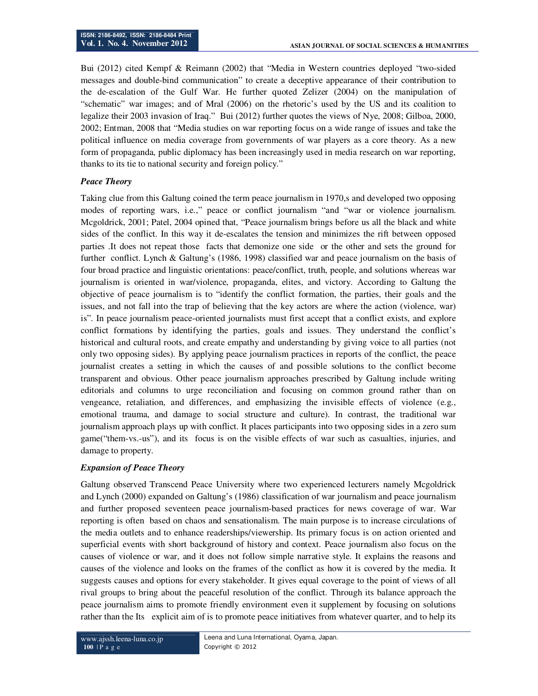Bui (2012) cited Kempf & Reimann (2002) that "Media in Western countries deployed "two-sided messages and double-bind communication" to create a deceptive appearance of their contribution to the de-escalation of the Gulf War. He further quoted Zelizer (2004) on the manipulation of "schematic" war images; and of Mral (2006) on the rhetoric's used by the US and its coalition to legalize their 2003 invasion of Iraq." Bui (2012) further quotes the views of Nye, 2008; Gilboa, 2000, 2002; Entman, 2008 that "Media studies on war reporting focus on a wide range of issues and take the political influence on media coverage from governments of war players as a core theory. As a new form of propaganda, public diplomacy has been increasingly used in media research on war reporting, thanks to its tie to national security and foreign policy."

### *Peace Theory*

Taking clue from this Galtung coined the term peace journalism in 1970, sand developed two opposing modes of reporting wars, i.e.," peace or conflict journalism "and "war or violence journalism. Mcgoldrick, 2001; Patel, 2004 opined that, "Peace journalism brings before us all the black and white sides of the conflict. In this way it de-escalates the tension and minimizes the rift between opposed parties .It does not repeat those facts that demonize one side or the other and sets the ground for further conflict. Lynch & Galtung's (1986, 1998) classified war and peace journalism on the basis of four broad practice and linguistic orientations: peace/conflict, truth, people, and solutions whereas war journalism is oriented in war/violence, propaganda, elites, and victory. According to Galtung the objective of peace journalism is to "identify the conflict formation, the parties, their goals and the issues, and not fall into the trap of believing that the key actors are where the action (violence, war) is". In peace journalism peace-oriented journalists must first accept that a conflict exists, and explore conflict formations by identifying the parties, goals and issues. They understand the conflict's historical and cultural roots, and create empathy and understanding by giving voice to all parties (not only two opposing sides). By applying peace journalism practices in reports of the conflict, the peace journalist creates a setting in which the causes of and possible solutions to the conflict become transparent and obvious. Other peace journalism approaches prescribed by Galtung include writing editorials and columns to urge reconciliation and focusing on common ground rather than on vengeance, retaliation, and differences, and emphasizing the invisible effects of violence (e.g., emotional trauma, and damage to social structure and culture). In contrast, the traditional war journalism approach plays up with conflict. It places participants into two opposing sides in a zero sum game("them-vs.-us"), and its focus is on the visible effects of war such as casualties, injuries, and damage to property.

## *Expansion of Peace Theory*

Galtung observed Transcend Peace University where two experienced lecturers namely Mcgoldrick and Lynch (2000) expanded on Galtung's (1986) classification of war journalism and peace journalism and further proposed seventeen peace journalism-based practices for news coverage of war. War reporting is often based on chaos and sensationalism. The main purpose is to increase circulations of the media outlets and to enhance readerships/viewership. Its primary focus is on action oriented and superficial events with short background of history and context. Peace journalism also focus on the causes of violence or war, and it does not follow simple narrative style. It explains the reasons and causes of the violence and looks on the frames of the conflict as how it is covered by the media. It suggests causes and options for every stakeholder. It gives equal coverage to the point of views of all rival groups to bring about the peaceful resolution of the conflict. Through its balance approach the peace journalism aims to promote friendly environment even it supplement by focusing on solutions rather than the Its explicit aim of is to promote peace initiatives from whatever quarter, and to help its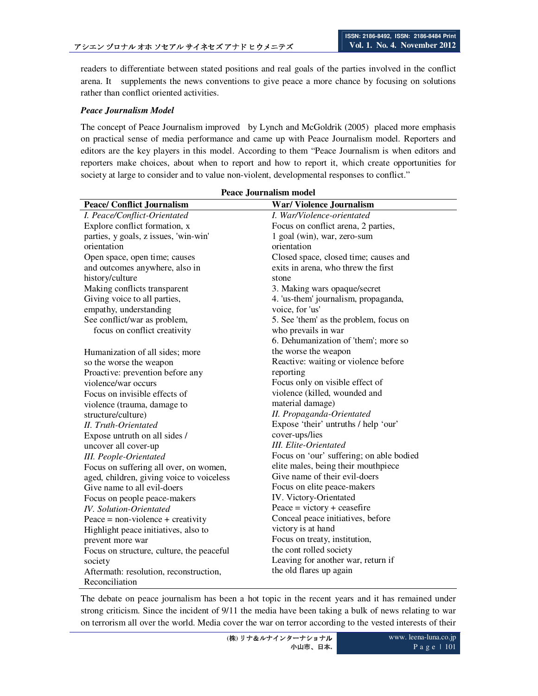readers to differentiate between stated positions and real goals of the parties involved in the conflict arena. It supplements the news conventions to give peace a more chance by focusing on solutions rather than conflict oriented activities.

### *Peace Journalism Model*

The concept of Peace Journalism improved by Lynch and McGoldrik (2005) placed more emphasis on practical sense of media performance and came up with Peace Journalism model. Reporters and editors are the key players in this model. According to them "Peace Journalism is when editors and reporters make choices, about when to report and how to report it, which create opportunities for society at large to consider and to value non-violent, developmental responses to conflict."

| <b>Peace Journalism model</b>             |                                             |  |  |
|-------------------------------------------|---------------------------------------------|--|--|
| <b>Peace/ Conflict Journalism</b>         | War/Violence Journalism                     |  |  |
| I. Peace/Conflict-Orientated              | I. War/Violence-orientated                  |  |  |
| Explore conflict formation, x             | Focus on conflict arena, 2 parties,         |  |  |
| parties, y goals, z issues, 'win-win'     | 1 goal (win), war, zero-sum                 |  |  |
| orientation                               | orientation                                 |  |  |
| Open space, open time; causes             | Closed space, closed time; causes and       |  |  |
| and outcomes anywhere, also in            | exits in arena, who threw the first         |  |  |
| history/culture                           | stone                                       |  |  |
| Making conflicts transparent              | 3. Making wars opaque/secret                |  |  |
| Giving voice to all parties,              | 4. 'us-them' journalism, propaganda,        |  |  |
| empathy, understanding                    | voice, for 'us'                             |  |  |
| See conflict/war as problem,              | 5. See 'them' as the problem, focus on      |  |  |
| focus on conflict creativity              | who prevails in war                         |  |  |
|                                           | 6. Dehumanization of 'them'; more so        |  |  |
| Humanization of all sides; more           | the worse the weapon                        |  |  |
| so the worse the weapon                   | Reactive: waiting or violence before        |  |  |
| Proactive: prevention before any          | reporting                                   |  |  |
| violence/war occurs                       | Focus only on visible effect of             |  |  |
| Focus on invisible effects of             | violence (killed, wounded and               |  |  |
| violence (trauma, damage to               | material damage)                            |  |  |
| structure/culture)                        | II. Propaganda-Orientated                   |  |  |
| II. Truth-Orientated                      | Expose 'their' untruths / help 'our'        |  |  |
| Expose untruth on all sides /             | cover-ups/lies                              |  |  |
| uncover all cover-up                      | <b>III.</b> Elite-Orientated                |  |  |
| <b>III.</b> People-Orientated             | Focus on 'our' suffering; on able bodied    |  |  |
| Focus on suffering all over, on women,    | elite males, being their mouthpiece         |  |  |
| aged, children, giving voice to voiceless | Give name of their evil-doers               |  |  |
| Give name to all evil-doers               | Focus on elite peace-makers                 |  |  |
| Focus on people peace-makers              | IV. Victory-Orientated                      |  |  |
| <b>IV.</b> Solution-Orientated            | Peace = $\text{victory} + \text{ceasefire}$ |  |  |
| Peace = $non-violence + creativity$       | Conceal peace initiatives, before           |  |  |
| Highlight peace initiatives, also to      | victory is at hand                          |  |  |
| prevent more war                          | Focus on treaty, institution,               |  |  |
| Focus on structure, culture, the peaceful | the cont rolled society                     |  |  |
| society                                   | Leaving for another war, return if          |  |  |
| Aftermath: resolution, reconstruction,    | the old flares up again                     |  |  |
| Reconciliation                            |                                             |  |  |

The debate on peace journalism has been a hot topic in the recent years and it has remained under strong criticism. Since the incident of 9/11 the media have been taking a bulk of news relating to war on terrorism all over the world. Media cover the war on terror according to the vested interests of their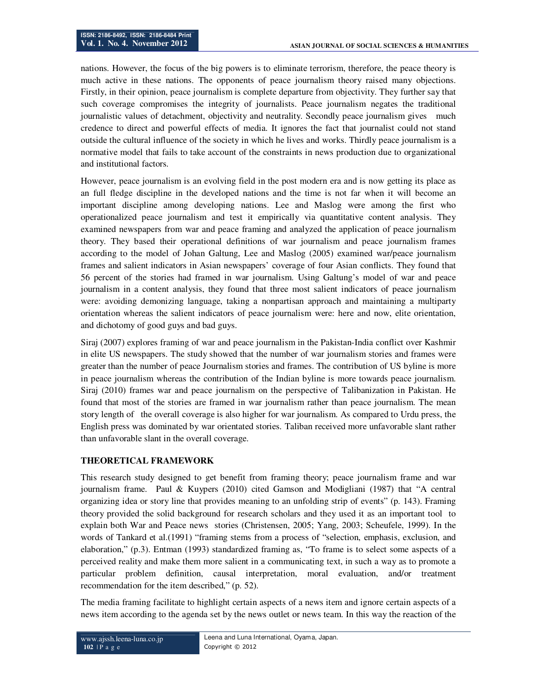nations. However, the focus of the big powers is to eliminate terrorism, therefore, the peace theory is much active in these nations. The opponents of peace journalism theory raised many objections. Firstly, in their opinion, peace journalism is complete departure from objectivity. They further say that such coverage compromises the integrity of journalists. Peace journalism negates the traditional journalistic values of detachment, objectivity and neutrality. Secondly peace journalism gives much credence to direct and powerful effects of media. It ignores the fact that journalist could not stand outside the cultural influence of the society in which he lives and works. Thirdly peace journalism is a normative model that fails to take account of the constraints in news production due to organizational and institutional factors.

However, peace journalism is an evolving field in the post modern era and is now getting its place as an full fledge discipline in the developed nations and the time is not far when it will become an important discipline among developing nations. Lee and Maslog were among the first who operationalized peace journalism and test it empirically via quantitative content analysis. They examined newspapers from war and peace framing and analyzed the application of peace journalism theory. They based their operational definitions of war journalism and peace journalism frames according to the model of Johan Galtung, Lee and Maslog (2005) examined war/peace journalism frames and salient indicators in Asian newspapers' coverage of four Asian conflicts. They found that 56 percent of the stories had framed in war journalism. Using Galtung's model of war and peace journalism in a content analysis, they found that three most salient indicators of peace journalism were: avoiding demonizing language, taking a nonpartisan approach and maintaining a multiparty orientation whereas the salient indicators of peace journalism were: here and now, elite orientation, and dichotomy of good guys and bad guys.

Siraj (2007) explores framing of war and peace journalism in the Pakistan-India conflict over Kashmir in elite US newspapers. The study showed that the number of war journalism stories and frames were greater than the number of peace Journalism stories and frames. The contribution of US byline is more in peace journalism whereas the contribution of the Indian byline is more towards peace journalism. Siraj (2010) frames war and peace journalism on the perspective of Talibanization in Pakistan. He found that most of the stories are framed in war journalism rather than peace journalism. The mean story length of the overall coverage is also higher for war journalism. As compared to Urdu press, the English press was dominated by war orientated stories. Taliban received more unfavorable slant rather than unfavorable slant in the overall coverage.

## **THEORETICAL FRAMEWORK**

This research study designed to get benefit from framing theory; peace journalism frame and war journalism frame. Paul & Kuypers (2010) cited Gamson and Modigliani (1987) that "A central organizing idea or story line that provides meaning to an unfolding strip of events" (p. 143). Framing theory provided the solid background for research scholars and they used it as an important tool to explain both War and Peace news stories (Christensen, 2005; Yang, 2003; Scheufele, 1999). In the words of Tankard et al.(1991) "framing stems from a process of "selection, emphasis, exclusion, and elaboration," (p.3). Entman (1993) standardized framing as, "To frame is to select some aspects of a perceived reality and make them more salient in a communicating text, in such a way as to promote a particular problem definition, causal interpretation, moral evaluation, and/or treatment recommendation for the item described," (p. 52).

The media framing facilitate to highlight certain aspects of a news item and ignore certain aspects of a news item according to the agenda set by the news outlet or news team. In this way the reaction of the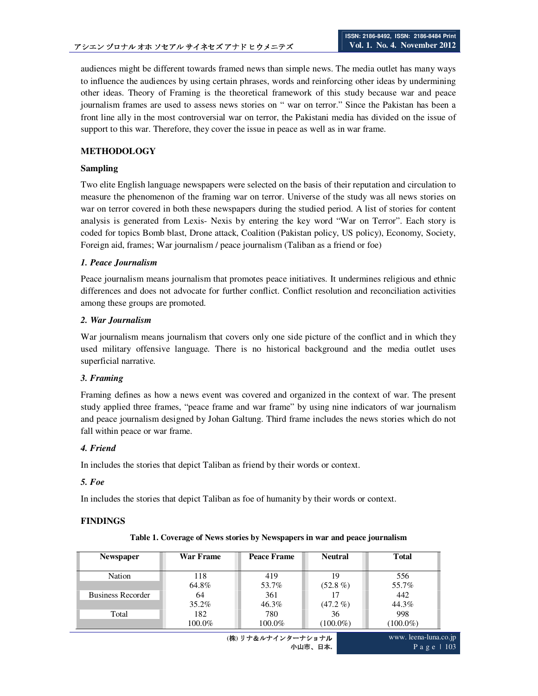audiences might be different towards framed news than simple news. The media outlet has many ways to influence the audiences by using certain phrases, words and reinforcing other ideas by undermining other ideas. Theory of Framing is the theoretical framework of this study because war and peace journalism frames are used to assess news stories on " war on terror." Since the Pakistan has been a front line ally in the most controversial war on terror, the Pakistani media has divided on the issue of support to this war. Therefore, they cover the issue in peace as well as in war frame.

### **METHODOLOGY**

### **Sampling**

Two elite English language newspapers were selected on the basis of their reputation and circulation to measure the phenomenon of the framing war on terror. Universe of the study was all news stories on war on terror covered in both these newspapers during the studied period. A list of stories for content analysis is generated from Lexis- Nexis by entering the key word "War on Terror". Each story is coded for topics Bomb blast, Drone attack, Coalition (Pakistan policy, US policy), Economy, Society, Foreign aid, frames; War journalism / peace journalism (Taliban as a friend or foe)

### *1. Peace Journalism*

Peace journalism means journalism that promotes peace initiatives. It undermines religious and ethnic differences and does not advocate for further conflict. Conflict resolution and reconciliation activities among these groups are promoted.

### *2. War Journalism*

War journalism means journalism that covers only one side picture of the conflict and in which they used military offensive language. There is no historical background and the media outlet uses superficial narrative.

### *3. Framing*

Framing defines as how a news event was covered and organized in the context of war. The present study applied three frames, "peace frame and war frame" by using nine indicators of war journalism and peace journalism designed by Johan Galtung. Third frame includes the news stories which do not fall within peace or war frame.

### *4. Friend*

In includes the stories that depict Taliban as friend by their words or context.

### *5. Foe*

In includes the stories that depict Taliban as foe of humanity by their words or context.

## **FINDINGS**

### **Table 1. Coverage of News stories by Newspapers in war and peace journalism**

| <b>Newspaper</b>         | War Frame | Peace Frame | <b>Neutral</b> | Total       |
|--------------------------|-----------|-------------|----------------|-------------|
| Nation                   | 118       | 419         | 19             | 556         |
|                          | 64.8%     | 53.7%       | $(52.8\%)$     | 55.7%       |
| <b>Business Recorder</b> | 64        | 361         |                | 442         |
|                          | $35.2\%$  | 46.3%       | $(47.2\% )$    | 44.3%       |
| Total                    | 182       | 780         | 36             | 998         |
|                          | 100.0%    | 100.0%      | $(100.0\%)$    | $(100.0\%)$ |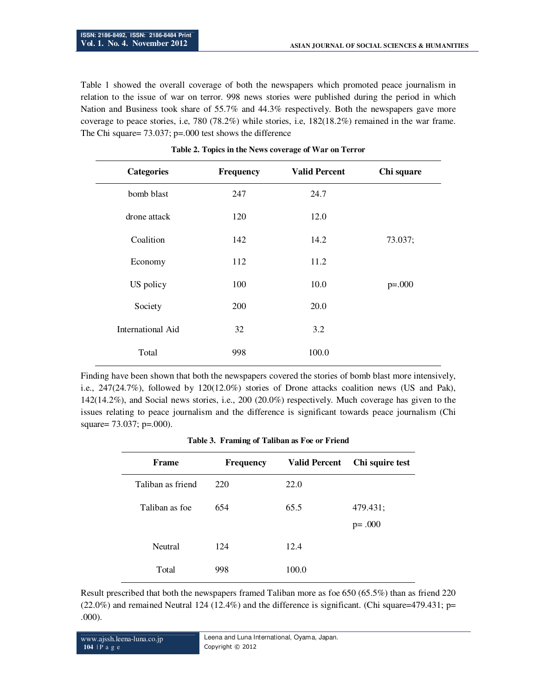Table 1 showed the overall coverage of both the newspapers which promoted peace journalism in relation to the issue of war on terror. 998 news stories were published during the period in which Nation and Business took share of 55.7% and 44.3% respectively. Both the newspapers gave more coverage to peace stories, i.e, 780 (78.2%) while stories, i.e, 182(18.2%) remained in the war frame. The Chi square= 73.037; p=.000 test shows the difference

| <b>Categories</b>        | Frequency | <b>Valid Percent</b> | Chi square |
|--------------------------|-----------|----------------------|------------|
| bomb blast               | 247       | 24.7                 |            |
| drone attack             | 120       | 12.0                 |            |
| Coalition                | 142       | 14.2                 | 73.037;    |
| Economy                  | 112       | 11.2                 |            |
| US policy                | 100       | 10.0                 | $p=.000$   |
| Society                  | 200       | 20.0                 |            |
| <b>International Aid</b> | 32        | 3.2                  |            |
| Total                    | 998       | 100.0                |            |

|  |  |  | Table 2. Topics in the News coverage of War on Terror |
|--|--|--|-------------------------------------------------------|
|  |  |  |                                                       |

Finding have been shown that both the newspapers covered the stories of bomb blast more intensively, i.e., 247(24.7%), followed by 120(12.0%) stories of Drone attacks coalition news (US and Pak), 142(14.2%), and Social news stories, i.e., 200 (20.0%) respectively. Much coverage has given to the issues relating to peace journalism and the difference is significant towards peace journalism (Chi square= 73.037; p=.000).

| Table 3. Framing of Taliban as Foe or Friend |  |  |  |  |
|----------------------------------------------|--|--|--|--|
|----------------------------------------------|--|--|--|--|

| Frame             | <b>Frequency</b> | <b>Valid Percent</b> | Chi squire test |
|-------------------|------------------|----------------------|-----------------|
| Taliban as friend | 220              | 22.0                 |                 |
| Taliban as foe    | 654              | 65.5                 | 479.431;        |
|                   |                  |                      | $p = .000$      |
| Neutral           | 124              | 12.4                 |                 |
| Total             | 998              | 100.0                |                 |

Result prescribed that both the newspapers framed Taliban more as foe 650 (65.5%) than as friend 220  $(22.0\%)$  and remained Neutral 124 (12.4%) and the difference is significant. (Chi square=479.431; p= .000).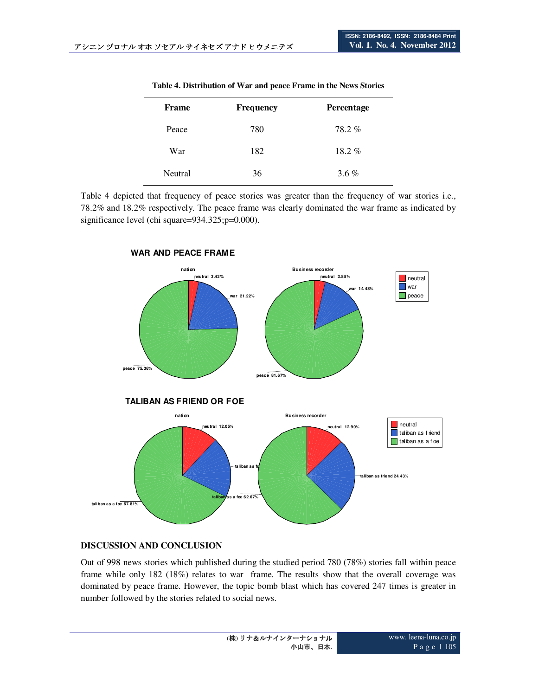| Frame   | <b>Frequency</b> | Percentage |
|---------|------------------|------------|
| Peace   | 780              | 78.2%      |
| War     | 182              | $18.2 \%$  |
| Neutral | 36               | $3.6\%$    |

**Table 4. Distribution of War and peace Frame in the News Stories** 

Table 4 depicted that frequency of peace stories was greater than the frequency of war stories i.e., 78.2% and 18.2% respectively. The peace frame was clearly dominated the war frame as indicated by significance level (chi square=934.325;p=0.000).



### **WAR AND PEACE FRAME**

# **DISCUSSION AND CONCLUSION**

Out of 998 news stories which published during the studied period 780 (78%) stories fall within peace frame while only 182 (18%) relates to war frame. The results show that the overall coverage was dominated by peace frame. However, the topic bomb blast which has covered 247 times is greater in number followed by the stories related to social news.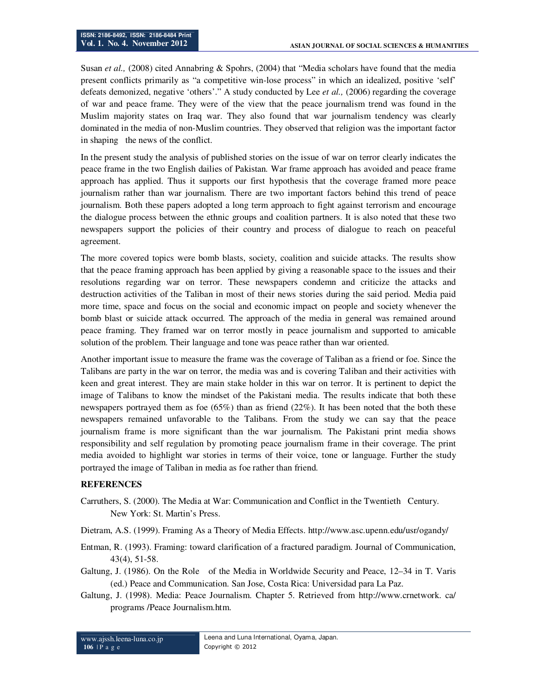Susan *et al.,* (2008) cited Annabring & Spohrs, (2004) that "Media scholars have found that the media present conflicts primarily as "a competitive win-lose process" in which an idealized, positive 'self' defeats demonized, negative 'others'." A study conducted by Lee *et al.,* (2006) regarding the coverage of war and peace frame. They were of the view that the peace journalism trend was found in the Muslim majority states on Iraq war. They also found that war journalism tendency was clearly dominated in the media of non-Muslim countries. They observed that religion was the important factor in shaping the news of the conflict.

In the present study the analysis of published stories on the issue of war on terror clearly indicates the peace frame in the two English dailies of Pakistan. War frame approach has avoided and peace frame approach has applied. Thus it supports our first hypothesis that the coverage framed more peace journalism rather than war journalism. There are two important factors behind this trend of peace journalism. Both these papers adopted a long term approach to fight against terrorism and encourage the dialogue process between the ethnic groups and coalition partners. It is also noted that these two newspapers support the policies of their country and process of dialogue to reach on peaceful agreement.

The more covered topics were bomb blasts, society, coalition and suicide attacks. The results show that the peace framing approach has been applied by giving a reasonable space to the issues and their resolutions regarding war on terror. These newspapers condemn and criticize the attacks and destruction activities of the Taliban in most of their news stories during the said period. Media paid more time, space and focus on the social and economic impact on people and society whenever the bomb blast or suicide attack occurred. The approach of the media in general was remained around peace framing. They framed war on terror mostly in peace journalism and supported to amicable solution of the problem. Their language and tone was peace rather than war oriented.

Another important issue to measure the frame was the coverage of Taliban as a friend or foe. Since the Talibans are party in the war on terror, the media was and is covering Taliban and their activities with keen and great interest. They are main stake holder in this war on terror. It is pertinent to depict the image of Talibans to know the mindset of the Pakistani media. The results indicate that both these newspapers portrayed them as foe (65%) than as friend (22%). It has been noted that the both these newspapers remained unfavorable to the Talibans. From the study we can say that the peace journalism frame is more significant than the war journalism. The Pakistani print media shows responsibility and self regulation by promoting peace journalism frame in their coverage. The print media avoided to highlight war stories in terms of their voice, tone or language. Further the study portrayed the image of Taliban in media as foe rather than friend.

### **REFERENCES**

- Carruthers, S. (2000). The Media at War: Communication and Conflict in the Twentieth Century. New York: St. Martin's Press.
- Dietram, A.S. (1999). Framing As a Theory of Media Effects. http://www.asc.upenn.edu/usr/ogandy/
- Entman, R. (1993). Framing: toward clarification of a fractured paradigm. Journal of Communication, 43(4), 51-58.
- Galtung, J. (1986). On the Role of the Media in Worldwide Security and Peace, 12–34 in T. Varis (ed.) Peace and Communication. San Jose, Costa Rica: Universidad para La Paz.
- Galtung, J. (1998). Media: Peace Journalism. Chapter 5. Retrieved from http://www.crnetwork. ca/ programs /Peace Journalism.htm.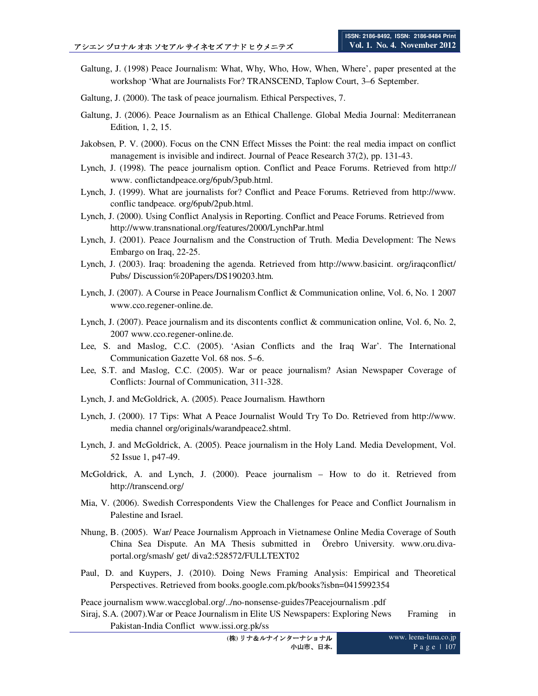- Galtung, J. (1998) Peace Journalism: What, Why, Who, How, When, Where', paper presented at the workshop 'What are Journalists For? TRANSCEND, Taplow Court, 3–6 September.
- Galtung, J. (2000). The task of peace journalism. Ethical Perspectives, 7.
- Galtung, J. (2006). Peace Journalism as an Ethical Challenge. Global Media Journal: Mediterranean Edition, 1, 2, 15.
- Jakobsen, P. V. (2000). Focus on the CNN Effect Misses the Point: the real media impact on conflict management is invisible and indirect. Journal of Peace Research 37(2), pp. 131-43.
- Lynch, J. (1998). The peace journalism option. Conflict and Peace Forums. Retrieved from http:// www. conflictandpeace.org/6pub/3pub.html.
- Lynch, J. (1999). What are journalists for? Conflict and Peace Forums. Retrieved from http://www. conflic tandpeace. org/6pub/2pub.html.
- Lynch, J. (2000). Using Conflict Analysis in Reporting. Conflict and Peace Forums. Retrieved from http://www.transnational.org/features/2000/LynchPar.html
- Lynch, J. (2001). Peace Journalism and the Construction of Truth. Media Development: The News Embargo on Iraq, 22-25.
- Lynch, J. (2003). Iraq: broadening the agenda. Retrieved from http://www.basicint. org/iraqconflict/ Pubs/ Discussion%20Papers/DS190203.htm.
- Lynch, J. (2007). A Course in Peace Journalism Conflict & Communication online, Vol. 6, No. 1 2007 www.cco.regener-online.de.
- Lynch, J. (2007). Peace journalism and its discontents conflict & communication online, Vol. 6, No. 2, 2007 www.cco.regener-online.de.
- Lee, S. and Maslog, C.C. (2005). 'Asian Conflicts and the Iraq War'. The International Communication Gazette Vol. 68 nos. 5–6.
- Lee, S.T. and Maslog, C.C. (2005). War or peace journalism? Asian Newspaper Coverage of Conflicts: Journal of Communication, 311-328.
- Lynch, J. and McGoldrick, A. (2005). Peace Journalism. Hawthorn
- Lynch, J. (2000). 17 Tips: What A Peace Journalist Would Try To Do. Retrieved from http://www. media channel org/originals/warandpeace2.shtml.
- Lynch, J. and McGoldrick, A. (2005). Peace journalism in the Holy Land. Media Development, Vol. 52 Issue 1, p47-49.
- McGoldrick, A. and Lynch, J. (2000). Peace journalism How to do it. Retrieved from http://transcend.org/
- Mia, V. (2006). Swedish Correspondents View the Challenges for Peace and Conflict Journalism in Palestine and Israel.
- Nhung, B. (2005). War/ Peace Journalism Approach in Vietnamese Online Media Coverage of South China Sea Dispute. An MA Thesis submitted in Örebro University. www.oru.divaportal.org/smash/ get/ diva2:528572/FULLTEXT02
- Paul, D. and Kuypers, J. (2010). Doing News Framing Analysis: Empirical and Theoretical Perspectives. Retrieved from books.google.com.pk/books?isbn=0415992354

Peace journalism www.waccglobal.org/../no-nonsense-guides7Peacejournalism .pdf

Siraj, S.A. (2007).War or Peace Journalism in Elite US Newspapers: Exploring News Framing in Pakistan-India Conflict www.issi.org.pk/ss